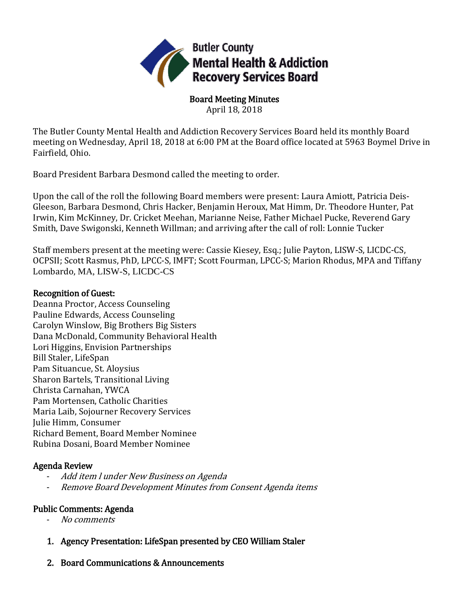

Board Meeting Minutes April 18, 2018

The Butler County Mental Health and Addiction Recovery Services Board held its monthly Board meeting on Wednesday, April 18, 2018 at 6:00 PM at the Board office located at 5963 Boymel Drive in Fairfield, Ohio.

Board President Barbara Desmond called the meeting to order.

Upon the call of the roll the following Board members were present: Laura Amiott, Patricia Deis-Gleeson, Barbara Desmond, Chris Hacker, Benjamin Heroux, Mat Himm, Dr. Theodore Hunter, Pat Irwin, Kim McKinney, Dr. Cricket Meehan, Marianne Neise, Father Michael Pucke, Reverend Gary Smith, Dave Swigonski, Kenneth Willman; and arriving after the call of roll: Lonnie Tucker

Staff members present at the meeting were: Cassie Kiesey, Esq.; Julie Payton, LISW-S, LICDC-CS, OCPSII; Scott Rasmus, PhD, LPCC-S, IMFT; Scott Fourman, LPCC-S; Marion Rhodus, MPA and Tiffany Lombardo, MA, LISW-S, LICDC-CS

## Recognition of Guest:

Deanna Proctor, Access Counseling Pauline Edwards, Access Counseling Carolyn Winslow, Big Brothers Big Sisters Dana McDonald, Community Behavioral Health Lori Higgins, Envision Partnerships Bill Staler, LifeSpan Pam Situancue, St. Aloysius Sharon Bartels, Transitional Living Christa Carnahan, YWCA Pam Mortensen, Catholic Charities Maria Laib, Sojourner Recovery Services Julie Himm, Consumer Richard Bement, Board Member Nominee Rubina Dosani, Board Member Nominee

# Agenda Review

- Add item l under New Business on Agenda
- Remove Board Development Minutes from Consent Agenda items

# Public Comments: Agenda

- No comments
- 1. Agency Presentation: LifeSpan presented by CEO William Staler
- 2. Board Communications & Announcements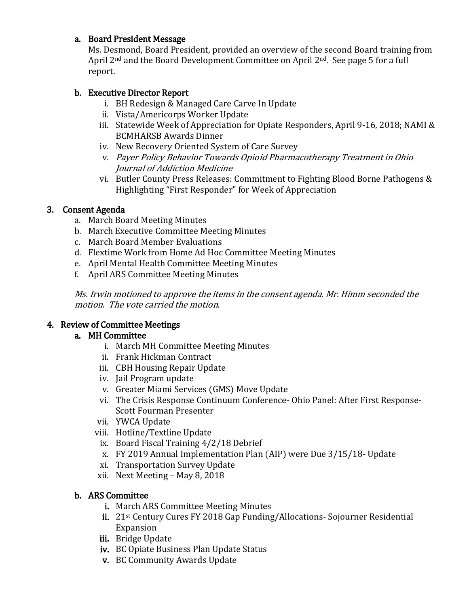## a. Board President Message

Ms. Desmond, Board President, provided an overview of the second Board training from April 2nd and the Board Development Committee on April 2nd. See page 5 for a full report.

# b. Executive Director Report

- i. BH Redesign & Managed Care Carve In Update
- ii. Vista/Americorps Worker Update
- iii. Statewide Week of Appreciation for Opiate Responders, April 9-16, 2018; NAMI & BCMHARSB Awards Dinner
- iv. New Recovery Oriented System of Care Survey
- v. Payer Policy Behavior Towards Opioid Pharmacotherapy Treatment in Ohio Journal of Addiction Medicine
- vi. Butler County Press Releases: Commitment to Fighting Blood Borne Pathogens & Highlighting "First Responder" for Week of Appreciation

# 3. Consent Agenda

- a. March Board Meeting Minutes
- b. March Executive Committee Meeting Minutes
- c. March Board Member Evaluations
- d. Flextime Work from Home Ad Hoc Committee Meeting Minutes
- e. April Mental Health Committee Meeting Minutes
- f. April ARS Committee Meeting Minutes

Ms. Irwin motioned to approve the items in the consent agenda. Mr. Himm seconded the motion. The vote carried the motion.

# 4. Review of Committee Meetings

# a. MH Committee

- i. March MH Committee Meeting Minutes
- ii. Frank Hickman Contract
- iii. CBH Housing Repair Update
- iv. Jail Program update
- v. Greater Miami Services (GMS) Move Update
- vi. The Crisis Response Continuum Conference- Ohio Panel: After First Response-Scott Fourman Presenter
- vii. YWCA Update
- viii. Hotline/Textline Update
	- ix. Board Fiscal Training 4/2/18 Debrief
	- x. FY 2019 Annual Implementation Plan (AIP) were Due 3/15/18- Update
	- xi. Transportation Survey Update
- xii. Next Meeting May 8, 2018

# b. ARS Committee

- i. March ARS Committee Meeting Minutes
- ii. 21st Century Cures FY 2018 Gap Funding/Allocations- Sojourner Residential Expansion
- iii. Bridge Update
- iv. BC Opiate Business Plan Update Status
- v. BC Community Awards Update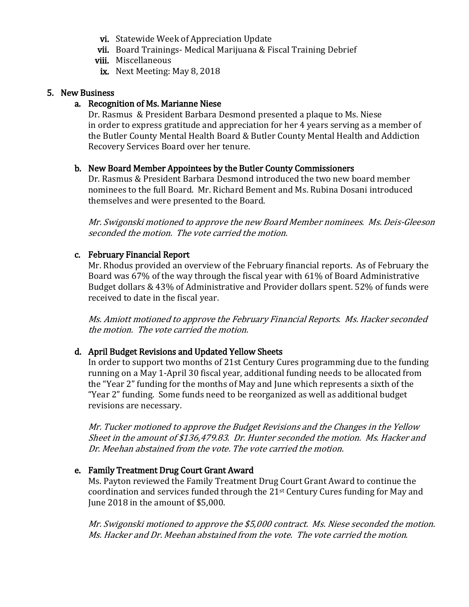- vi. Statewide Week of Appreciation Update
- vii. Board Trainings- Medical Marijuana & Fiscal Training Debrief
- viii. Miscellaneous
- ix. Next Meeting: May 8, 2018

#### 5. New Business

#### a. Recognition of Ms. Marianne Niese

Dr. Rasmus & President Barbara Desmond presented a plaque to Ms. Niese in order to express gratitude and appreciation for her 4 years serving as a member of the Butler County Mental Health Board & Butler County Mental Health and Addiction Recovery Services Board over her tenure.

#### b. New Board Member Appointees by the Butler County Commissioners

Dr. Rasmus & President Barbara Desmond introduced the two new board member nominees to the full Board. Mr. Richard Bement and Ms. Rubina Dosani introduced themselves and were presented to the Board.

Mr. Swigonski motioned to approve the new Board Member nominees. Ms. Deis-Gleeson seconded the motion. The vote carried the motion.

### c. February Financial Report

Mr. Rhodus provided an overview of the February financial reports. As of February the Board was 67% of the way through the fiscal year with 61% of Board Administrative Budget dollars & 43% of Administrative and Provider dollars spent. 52% of funds were received to date in the fiscal year.

Ms. Amiott motioned to approve the February Financial Reports. Ms. Hacker seconded the motion. The vote carried the motion.

#### d. April Budget Revisions and Updated Yellow Sheets

In order to support two months of 21st Century Cures programming due to the funding running on a May 1-April 30 fiscal year, additional funding needs to be allocated from the "Year 2" funding for the months of May and June which represents a sixth of the "Year 2" funding. Some funds need to be reorganized as well as additional budget revisions are necessary.

Mr. Tucker motioned to approve the Budget Revisions and the Changes in the Yellow Sheet in the amount of \$136,479.83. Dr. Hunter seconded the motion. Ms. Hacker and Dr. Meehan abstained from the vote. The vote carried the motion.

#### e. Family Treatment Drug Court Grant Award

Ms. Payton reviewed the Family Treatment Drug Court Grant Award to continue the coordination and services funded through the 21st Century Cures funding for May and June 2018 in the amount of \$5,000.

Mr. Swigonski motioned to approve the \$5,000 contract. Ms. Niese seconded the motion. Ms. Hacker and Dr. Meehan abstained from the vote. The vote carried the motion.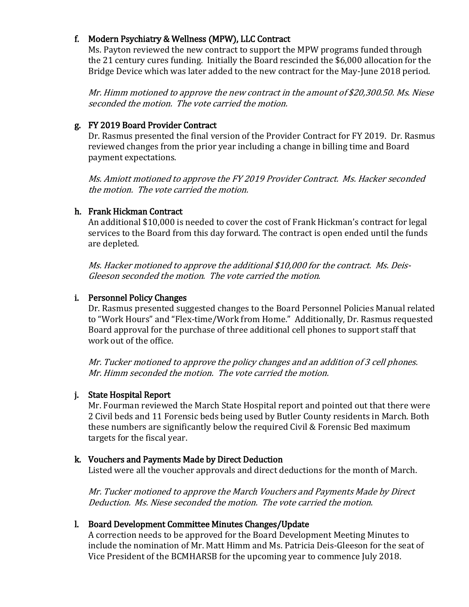## f. Modern Psychiatry & Wellness (MPW), LLC Contract

Ms. Payton reviewed the new contract to support the MPW programs funded through the 21 century cures funding. Initially the Board rescinded the \$6,000 allocation for the Bridge Device which was later added to the new contract for the May-June 2018 period.

Mr. Himm motioned to approve the new contract in the amount of \$20,300.50. Ms. Niese seconded the motion. The vote carried the motion.

### g. FY 2019 Board Provider Contract

Dr. Rasmus presented the final version of the Provider Contract for FY 2019. Dr. Rasmus reviewed changes from the prior year including a change in billing time and Board payment expectations.

Ms. Amiott motioned to approve the FY 2019 Provider Contract. Ms. Hacker seconded the motion. The vote carried the motion.

## h. Frank Hickman Contract

An additional \$10,000 is needed to cover the cost of Frank Hickman's contract for legal services to the Board from this day forward. The contract is open ended until the funds are depleted.

Ms. Hacker motioned to approve the additional \$10,000 for the contract. Ms. Deis-Gleeson seconded the motion. The vote carried the motion.

## i. Personnel Policy Changes

Dr. Rasmus presented suggested changes to the Board Personnel Policies Manual related to "Work Hours" and "Flex-time/Work from Home." Additionally, Dr. Rasmus requested Board approval for the purchase of three additional cell phones to support staff that work out of the office.

Mr. Tucker motioned to approve the policy changes and an addition of 3 cell phones. Mr. Himm seconded the motion. The vote carried the motion.

# j. State Hospital Report

Mr. Fourman reviewed the March State Hospital report and pointed out that there were 2 Civil beds and 11 Forensic beds being used by Butler County residents in March. Both these numbers are significantly below the required Civil & Forensic Bed maximum targets for the fiscal year.

### k. Vouchers and Payments Made by Direct Deduction

Listed were all the voucher approvals and direct deductions for the month of March.

Mr. Tucker motioned to approve the March Vouchers and Payments Made by Direct Deduction. Ms. Niese seconded the motion. The vote carried the motion.

# l. Board Development Committee Minutes Changes/Update

A correction needs to be approved for the Board Development Meeting Minutes to include the nomination of Mr. Matt Himm and Ms. Patricia Deis-Gleeson for the seat of Vice President of the BCMHARSB for the upcoming year to commence July 2018.